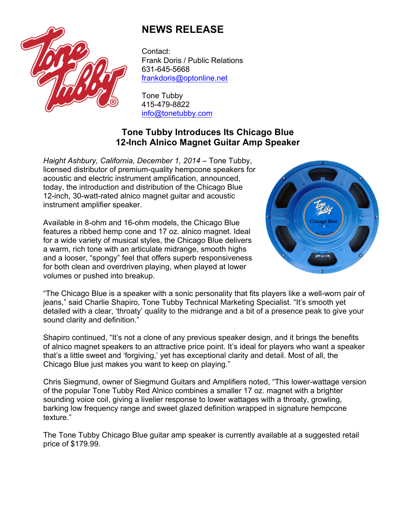

## **NEWS RELEASE**

Contact: Frank Doris / Public Relations 631-645-5668 frankdoris@optonline.net

Tone Tubby 415-479-8822 info@tonetubby.com

## **Tone Tubby Introduces Its Chicago Blue 12-Inch Alnico Magnet Guitar Amp Speaker**

*Haight Ashbury, California, December 1, 2014* – Tone Tubby, licensed distributor of premium-quality hempcone speakers for acoustic and electric instrument amplification, announced, today, the introduction and distribution of the Chicago Blue 12-inch, 30-watt-rated alnico magnet guitar and acoustic instrument amplifier speaker.

Available in 8-ohm and 16-ohm models, the Chicago Blue features a ribbed hemp cone and 17 oz. alnico magnet. Ideal for a wide variety of musical styles, the Chicago Blue delivers a warm, rich tone with an articulate midrange, smooth highs and a looser, "spongy" feel that offers superb responsiveness for both clean and overdriven playing, when played at lower volumes or pushed into breakup.



"The Chicago Blue is a speaker with a sonic personality that fits players like a well-worn pair of jeans," said Charlie Shapiro, Tone Tubby Technical Marketing Specialist. "It's smooth yet detailed with a clear, 'throaty' quality to the midrange and a bit of a presence peak to give your sound clarity and definition."

Shapiro continued, "It's not a clone of any previous speaker design, and it brings the benefits of alnico magnet speakers to an attractive price point. It's ideal for players who want a speaker that's a little sweet and 'forgiving,' yet has exceptional clarity and detail. Most of all, the Chicago Blue just makes you want to keep on playing."

Chris Siegmund, owner of Siegmund Guitars and Amplifiers noted, "This lower-wattage version of the popular Tone Tubby Red Alnico combines a smaller 17 oz. magnet with a brighter sounding voice coil, giving a livelier response to lower wattages with a throaty, growling, barking low frequency range and sweet glazed definition wrapped in signature hempcone texture."

The Tone Tubby Chicago Blue guitar amp speaker is currently available at a suggested retail price of \$179.99.